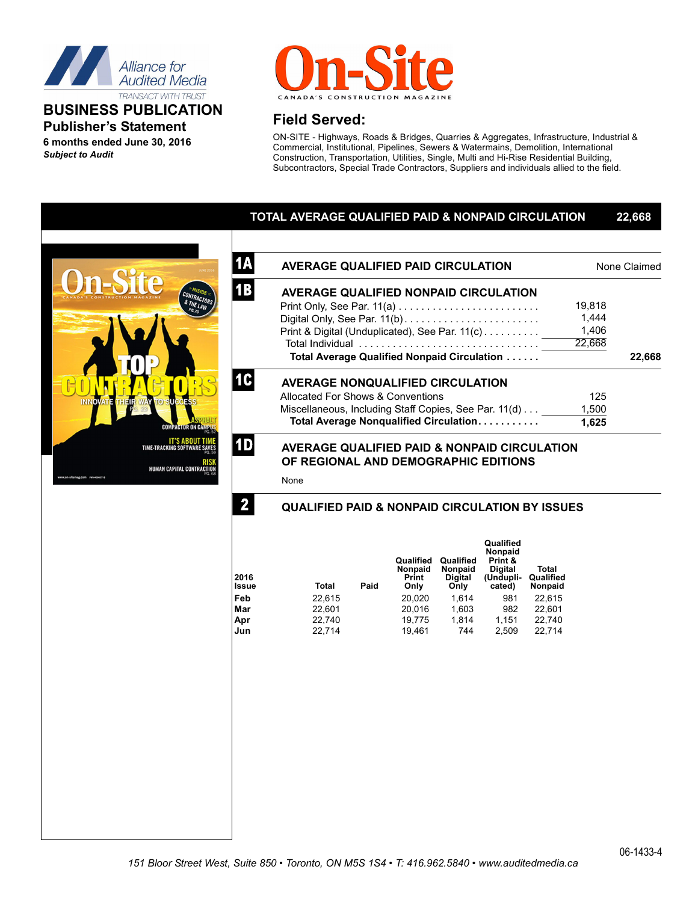

## **BUSINESS PUBLICATION Publisher's Statement 6 months ended June 30, 2016**

*Subject to Audit*



# **Field Served:**

ON-SITE - Highways, Roads & Bridges, Quarries & Aggregates, Infrastructure, Industrial & Commercial, Institutional, Pipelines, Sewers & Watermains, Demolition, International Construction, Transportation, Utilities, Single, Multi and Hi-Rise Residential Building, Subcontractors, Special Trade Contractors, Suppliers and individuals allied to the field.

## **TOTAL AVERAGE QUALIFIED PAID & NONPAID CIRCULATION 22,668**



| <b>1A</b> | <b>AVERAGE QUALIFIED PAID CIRCULATION</b>                                                       | None Claimed |        |  |
|-----------|-------------------------------------------------------------------------------------------------|--------------|--------|--|
| <b>1B</b> | <b>AVERAGE QUALIFIED NONPAID CIRCULATION</b>                                                    |              |        |  |
|           |                                                                                                 | 19,818       |        |  |
|           |                                                                                                 | 1.444        |        |  |
|           | Print & Digital (Unduplicated), See Par. 11(c)                                                  | 1,406        |        |  |
|           |                                                                                                 | 22,668       |        |  |
|           | Total Average Qualified Nonpaid Circulation                                                     |              | 22,668 |  |
|           | <b>AVERAGE NONQUALIFIED CIRCULATION</b>                                                         |              |        |  |
|           | Allocated For Shows & Conventions                                                               | 125          |        |  |
|           | Miscellaneous, Including Staff Copies, See Par. 11(d)                                           | 1,500        |        |  |
|           | Total Average Nonqualified Circulation                                                          | 1,625        |        |  |
| <b>1D</b> | <b>AVERAGE QUALIFIED PAID &amp; NONPAID CIRCULATION</b><br>OF REGIONAL AND DEMOGRAPHIC EDITIONS |              |        |  |

None

**2**

## **QUALIFIED PAID & NONPAID CIRCULATION BY ISSUES**

| 2016<br>Issue | Total  | Paid | Qualified<br><b>Nonpaid</b><br>Print<br>Only | Qualified<br>Nonpaid<br><b>Digital</b><br>Only | Qualified<br>Nonpaid<br>Print &<br><b>Digital</b><br>(Undupli-<br>cated) | Total<br>Qualified<br>Nonpaid |
|---------------|--------|------|----------------------------------------------|------------------------------------------------|--------------------------------------------------------------------------|-------------------------------|
| Feb           | 22,615 |      | 20,020                                       | 1.614                                          | 981                                                                      | 22,615                        |
| Mar           | 22,601 |      | 20,016                                       | 1,603                                          | 982                                                                      | 22,601                        |
| Apr           | 22,740 |      | 19,775                                       | 1.814                                          | 1,151                                                                    | 22,740                        |
| Jun           | 22,714 |      | 19,461                                       | 744                                            | 2,509                                                                    | 22,714                        |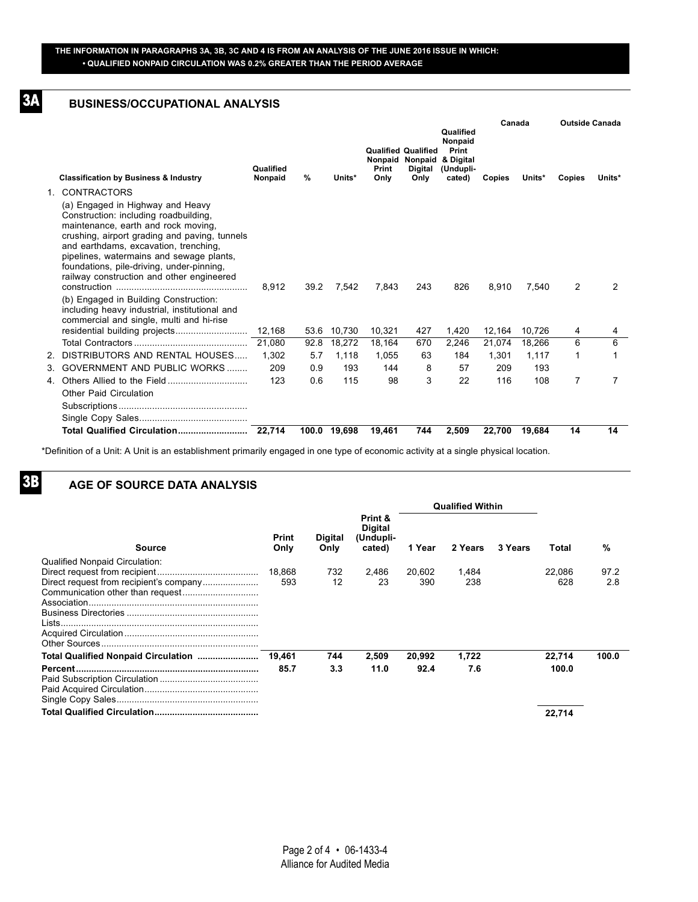#### **THE INFORMATION IN PARAGRAPHS 3A, 3B, 3C AND 4 IS FROM AN ANALYSIS OF THE JUNE 2016 ISSUE IN WHICH: • QUALIFIED NONPAID CIRCULATION WAS 0.2% GREATER THAN THE PERIOD AVERAGE**

## **BUSINESS/OCCUPATIONAL ANALYSIS**

**3A**

**3B**

|                                                                                                                                                                                                                                                                                                                                                  |                      |               |              |               |                                                                                   |                                                      | Canada |        | <b>Outside Canada</b> |        |
|--------------------------------------------------------------------------------------------------------------------------------------------------------------------------------------------------------------------------------------------------------------------------------------------------------------------------------------------------|----------------------|---------------|--------------|---------------|-----------------------------------------------------------------------------------|------------------------------------------------------|--------|--------|-----------------------|--------|
| <b>Classification by Business &amp; Industry</b>                                                                                                                                                                                                                                                                                                 | Qualified<br>Nonpaid | $\frac{9}{6}$ | Units*       | Print<br>Only | <b>Qualified Qualified</b><br>Nonpaid Nonpaid & Digital<br><b>Digital</b><br>Only | Qualified<br>Nonpaid<br>Print<br>(Undupli-<br>cated) | Copies | Units* | Copies                | Units* |
| 1. CONTRACTORS                                                                                                                                                                                                                                                                                                                                   |                      |               |              |               |                                                                                   |                                                      |        |        |                       |        |
| (a) Engaged in Highway and Heavy<br>Construction: including roadbuilding,<br>maintenance, earth and rock moving,<br>crushing, airport grading and paving, tunnels<br>and earthdams, excavation, trenching,<br>pipelines, watermains and sewage plants,<br>foundations, pile-driving, under-pinning,<br>railway construction and other engineered | 8.912                | 39.2          | 7.542        | 7.843         | 243                                                                               | 826                                                  | 8,910  | 7,540  | 2                     | 2      |
| (b) Engaged in Building Construction:<br>including heavy industrial, institutional and<br>commercial and single, multi and hi-rise                                                                                                                                                                                                               |                      |               |              |               |                                                                                   |                                                      |        |        |                       |        |
|                                                                                                                                                                                                                                                                                                                                                  |                      | 53.6          | 10,730       | 10,321        | 427                                                                               | 1,420                                                | 12,164 | 10,726 | 4                     | 4      |
|                                                                                                                                                                                                                                                                                                                                                  |                      | 92.8          | 18.272       | 18.164        | 670                                                                               | 2,246                                                | 21,074 | 18.266 | 6                     | 6      |
| 2. DISTRIBUTORS AND RENTAL HOUSES                                                                                                                                                                                                                                                                                                                | 1.302                | 5.7           | 1,118        | 1,055         | 63                                                                                | 184                                                  | 1,301  | 1,117  | 1                     | 1      |
| 3. GOVERNMENT AND PUBLIC WORKS                                                                                                                                                                                                                                                                                                                   | 209                  | 0.9           | 193          | 144           | 8                                                                                 | 57                                                   | 209    | 193    |                       |        |
| Other Paid Circulation                                                                                                                                                                                                                                                                                                                           | 123                  | 0.6           | 115          | 98            | 3                                                                                 | 22                                                   | 116    | 108    | 7                     | 7      |
|                                                                                                                                                                                                                                                                                                                                                  |                      |               |              |               |                                                                                   |                                                      |        |        |                       |        |
|                                                                                                                                                                                                                                                                                                                                                  |                      |               | 100.0 19.698 | 19,461        | 744                                                                               | 2,509                                                | 22,700 | 19,684 | 14                    | 14     |

\*Definition of a Unit: A Unit is an establishment primarily engaged in one type of economic activity at a single physical location.

#### **AGE OF SOURCE DATA ANALYSIS**

|                                       |               |                        |                                                  | <b>Qualified Within</b> |              |         |               |             |
|---------------------------------------|---------------|------------------------|--------------------------------------------------|-------------------------|--------------|---------|---------------|-------------|
| <b>Source</b>                         | Print<br>Only | <b>Digital</b><br>Only | Print &<br><b>Digital</b><br>(Undupli-<br>cated) | 1 Year                  | 2 Years      | 3 Years | Total         | %           |
| <b>Qualified Nonpaid Circulation:</b> | 18,868<br>593 | 732<br>12              | 2,486<br>23                                      | 20,602<br>390           | 1,484<br>238 |         | 22.086<br>628 | 97.2<br>2.8 |
|                                       | 19,461        | 744                    | 2,509                                            | 20,992                  | 1,722        |         | 22,714        | 100.0       |
|                                       | 85.7          | 3.3                    | 11.0                                             | 92.4                    | 7.6          |         | 100.0         |             |
|                                       |               |                        |                                                  |                         |              |         | 22.714        |             |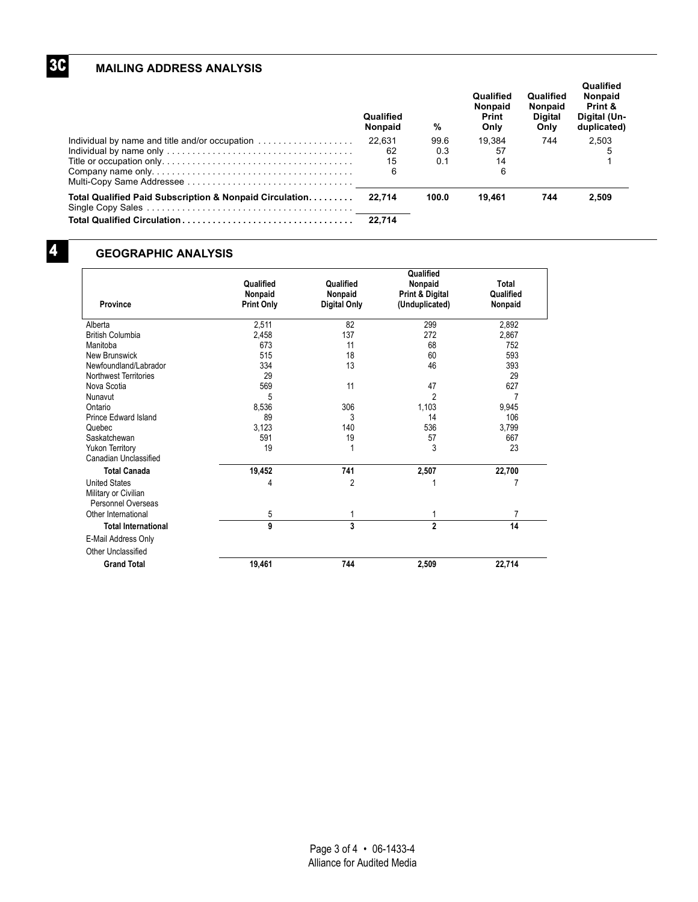## **MAILING ADDRESS ANALYSIS**

|                                                         | Qualified<br><b>Nonpaid</b> | %     | Qualified<br><b>Nonpaid</b><br>Print<br>Only | Qualified<br><b>Nonpaid</b><br>Digital<br>Only | Qualified<br><b>Nonpaid</b><br>Print &<br>Digital (Un-<br>duplicated) |
|---------------------------------------------------------|-----------------------------|-------|----------------------------------------------|------------------------------------------------|-----------------------------------------------------------------------|
| Individual by name and title and/or occupation          | 22.631                      | 99.6  | 19.384                                       | 744                                            | 2.503                                                                 |
|                                                         | 62                          | 0.3   | 57                                           |                                                |                                                                       |
|                                                         | 15                          | 0.1   | 14                                           |                                                |                                                                       |
|                                                         | 6                           |       | 6                                            |                                                |                                                                       |
| Total Qualified Paid Subscription & Nonpaid Circulation | 22.714                      | 100.0 | 19.461                                       | 744                                            | 2.509                                                                 |
|                                                         | 22.714                      |       |                                              |                                                |                                                                       |

**3C**

## **GEOGRAPHIC ANALYSIS**

|                                                                    |                                           | Qualified                            |                                              |                               |  |
|--------------------------------------------------------------------|-------------------------------------------|--------------------------------------|----------------------------------------------|-------------------------------|--|
| Province                                                           | Qualified<br>Nonpaid<br><b>Print Only</b> | Qualified<br>Nonpaid<br>Digital Only | Nonpaid<br>Print & Digital<br>(Unduplicated) | Total<br>Qualified<br>Nonpaid |  |
| Alberta                                                            | 2,511                                     | 82                                   | 299                                          | 2,892                         |  |
| <b>British Columbia</b>                                            | 2,458                                     | 137                                  | 272                                          | 2,867                         |  |
| Manitoba                                                           | 673                                       | 11                                   | 68                                           | 752                           |  |
| New Brunswick                                                      | 515                                       | 18                                   | 60                                           | 593                           |  |
| Newfoundland/Labrador                                              | 334                                       | 13                                   | 46                                           | 393                           |  |
| Northwest Territories                                              | 29                                        |                                      |                                              | 29                            |  |
| Nova Scotia                                                        | 569                                       | 11                                   | 47                                           | 627                           |  |
| Nunavut                                                            | 5                                         |                                      | $\overline{2}$                               | 7                             |  |
| Ontario                                                            | 8,536                                     | 306                                  | 1,103                                        | 9,945                         |  |
| Prince Edward Island                                               | 89                                        | 3                                    | 14                                           | 106                           |  |
| Quebec                                                             | 3,123                                     | 140                                  | 536                                          | 3,799                         |  |
| Saskatchewan                                                       | 591                                       | 19                                   | 57                                           | 667                           |  |
| <b>Yukon Territory</b><br>Canadian Unclassified                    | 19                                        | 1                                    | 3                                            | 23                            |  |
| <b>Total Canada</b>                                                | 19,452                                    | 741                                  | 2,507                                        | 22,700                        |  |
| <b>United States</b><br>Military or Civilian<br>Personnel Overseas | 4                                         | 2                                    |                                              | 7                             |  |
| Other International                                                | 5                                         | 1                                    | 1                                            | $\overline{7}$                |  |
| <b>Total International</b>                                         | 9                                         | 3                                    | $\mathbf{2}$                                 | 14                            |  |
| E-Mail Address Only                                                |                                           |                                      |                                              |                               |  |
| Other Unclassified                                                 |                                           |                                      |                                              |                               |  |
| <b>Grand Total</b>                                                 | 19,461                                    | 744                                  | 2,509                                        | 22,714                        |  |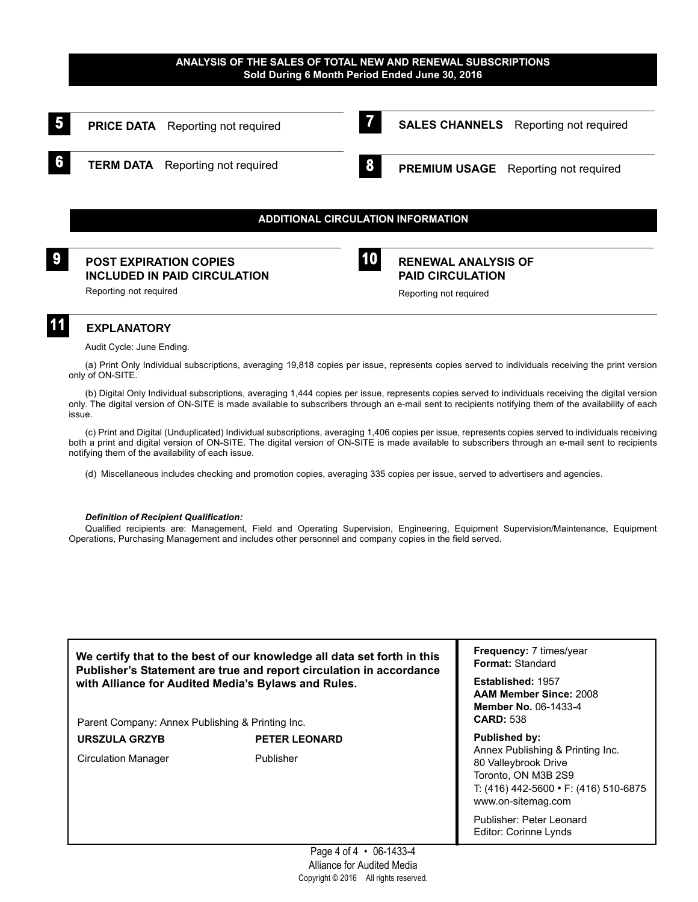#### **ANALYSIS OF THE SALES OF TOTAL NEW AND RENEWAL SUBSCRIPTIONS Sold During 6 Month Period Ended June 30, 2016**



Audit Cycle: June Ending.

(a) Print Only Individual subscriptions, averaging 19,818 copies per issue, represents copies served to individuals receiving the print version only of ON-SITE.

(b) Digital Only Individual subscriptions, averaging 1,444 copies per issue, represents copies served to individuals receiving the digital version only. The digital version of ON-SITE is made available to subscribers through an e-mail sent to recipients notifying them of the availability of each issue.

(c) Print and Digital (Unduplicated) Individual subscriptions, averaging 1,406 copies per issue, represents copies served to individuals receiving both a print and digital version of ON-SITE. The digital version of ON-SITE is made available to subscribers through an e-mail sent to recipients notifying them of the availability of each issue.

(d) Miscellaneous includes checking and promotion copies, averaging 335 copies per issue, served to advertisers and agencies.

#### *Definition of Recipient Qualification:*

Qualified recipients are: Management, Field and Operating Supervision, Engineering, Equipment Supervision/Maintenance, Equipment Operations, Purchasing Management and includes other personnel and company copies in the field served.

**We certify that to the best of our knowledge all data set forth in this Publisher's Statement are true and report circulation in accordance with Alliance for Audited Media's Bylaws and Rules.**

Parent Company: Annex Publishing & Printing Inc.

**URSZULA GRZYB PETER LEONARD** Circulation Manager Publisher

**Frequency:** 7 times/year **Format:** Standard

**Established:** 1957 **AAM Member Since:** 2008 **Member No.** 06-1433-4 **CARD:** 538

**Published by:** Annex Publishing & Printing Inc. 80 Valleybrook Drive Toronto, ON M3B 2S9 T: (416) 442-5600 • F: (416) 510-6875 www.on-sitemag.com

Publisher: Peter Leonard Editor: Corinne Lynds